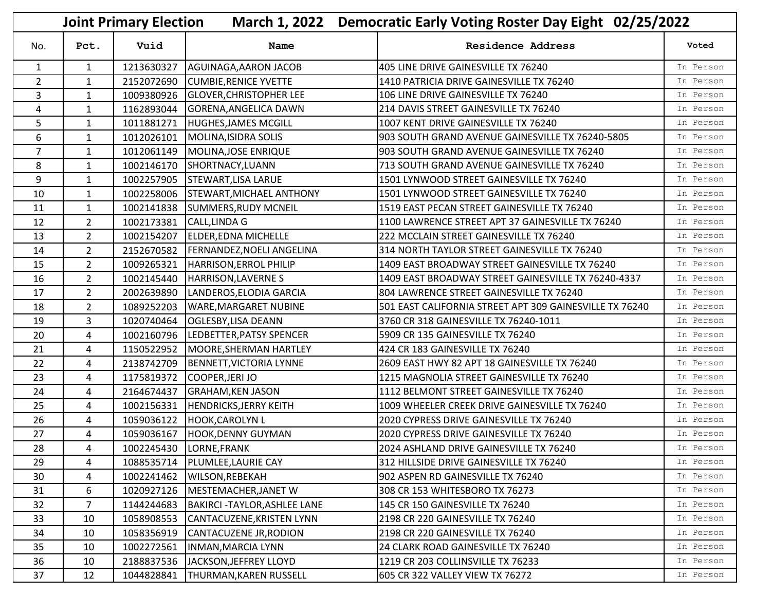| <b>Joint Primary Election</b><br>March 1, 2022 Democratic Early Voting Roster Day Eight 02/25/2022 |                |            |                                    |                                                         |           |  |
|----------------------------------------------------------------------------------------------------|----------------|------------|------------------------------------|---------------------------------------------------------|-----------|--|
| No.                                                                                                | Pct.           | Vuid       | Name                               | <b>Residence Address</b>                                | Voted     |  |
| $\mathbf{1}$                                                                                       | $\mathbf{1}$   | 1213630327 | AGUINAGA, AARON JACOB              | 405 LINE DRIVE GAINESVILLE TX 76240                     | In Person |  |
| $\overline{2}$                                                                                     | $\mathbf{1}$   | 2152072690 | <b>CUMBIE, RENICE YVETTE</b>       | 1410 PATRICIA DRIVE GAINESVILLE TX 76240                | In Person |  |
| 3                                                                                                  | $\mathbf{1}$   | 1009380926 | <b>GLOVER, CHRISTOPHER LEE</b>     | 106 LINE DRIVE GAINESVILLE TX 76240                     | In Person |  |
| 4                                                                                                  | $\mathbf{1}$   | 1162893044 | <b>GORENA, ANGELICA DAWN</b>       | 214 DAVIS STREET GAINESVILLE TX 76240                   | In Person |  |
| 5                                                                                                  | 1              | 1011881271 | <b>HUGHES, JAMES MCGILL</b>        | 1007 KENT DRIVE GAINESVILLE TX 76240                    | In Person |  |
| 6                                                                                                  | $\mathbf{1}$   | 1012026101 | MOLINA, ISIDRA SOLIS               | 903 SOUTH GRAND AVENUE GAINESVILLE TX 76240-5805        | In Person |  |
| $\overline{7}$                                                                                     | $\mathbf{1}$   | 1012061149 | MOLINA, JOSE ENRIQUE               | 903 SOUTH GRAND AVENUE GAINESVILLE TX 76240             | In Person |  |
| 8                                                                                                  | $\mathbf{1}$   | 1002146170 | SHORTNACY, LUANN                   | 713 SOUTH GRAND AVENUE GAINESVILLE TX 76240             | In Person |  |
| 9                                                                                                  | $\mathbf{1}$   | 1002257905 | <b>STEWART, LISA LARUE</b>         | 1501 LYNWOOD STREET GAINESVILLE TX 76240                | In Person |  |
| 10                                                                                                 | $\mathbf{1}$   | 1002258006 | <b>STEWART, MICHAEL ANTHONY</b>    | 1501 LYNWOOD STREET GAINESVILLE TX 76240                | In Person |  |
| 11                                                                                                 | $\mathbf{1}$   | 1002141838 | <b>SUMMERS, RUDY MCNEIL</b>        | 1519 EAST PECAN STREET GAINESVILLE TX 76240             | In Person |  |
| 12                                                                                                 | $\overline{2}$ | 1002173381 | <b>CALL, LINDA G</b>               | 1100 LAWRENCE STREET APT 37 GAINESVILLE TX 76240        | In Person |  |
| 13                                                                                                 | $\overline{2}$ | 1002154207 | <b>ELDER, EDNA MICHELLE</b>        | 222 MCCLAIN STREET GAINESVILLE TX 76240                 | In Person |  |
| 14                                                                                                 | $\overline{2}$ | 2152670582 | <b>FERNANDEZ, NOELI ANGELINA</b>   | 314 NORTH TAYLOR STREET GAINESVILLE TX 76240            | In Person |  |
| 15                                                                                                 | $\overline{2}$ | 1009265321 | HARRISON, ERROL PHILIP             | 1409 EAST BROADWAY STREET GAINESVILLE TX 76240          | In Person |  |
| 16                                                                                                 | $2^{\circ}$    | 1002145440 | HARRISON, LAVERNES                 | 1409 EAST BROADWAY STREET GAINESVILLE TX 76240-4337     | In Person |  |
| 17                                                                                                 | $\overline{2}$ | 2002639890 | LANDEROS, ELODIA GARCIA            | 804 LAWRENCE STREET GAINESVILLE TX 76240                | In Person |  |
| 18                                                                                                 | $\overline{2}$ | 1089252203 | <b>WARE, MARGARET NUBINE</b>       | 501 EAST CALIFORNIA STREET APT 309 GAINESVILLE TX 76240 | In Person |  |
| 19                                                                                                 | 3              | 1020740464 | <b>OGLESBY, LISA DEANN</b>         | 3760 CR 318 GAINESVILLE TX 76240-1011                   | In Person |  |
| 20                                                                                                 | 4              | 1002160796 | LEDBETTER, PATSY SPENCER           | 5909 CR 135 GAINESVILLE TX 76240                        | In Person |  |
| 21                                                                                                 | 4              | 1150522952 | MOORE, SHERMAN HARTLEY             | 424 CR 183 GAINESVILLE TX 76240                         | In Person |  |
| 22                                                                                                 | 4              | 2138742709 | <b>BENNETT, VICTORIA LYNNE</b>     | 2609 EAST HWY 82 APT 18 GAINESVILLE TX 76240            | In Person |  |
| 23                                                                                                 | 4              | 1175819372 | COOPER, JERI JO                    | 1215 MAGNOLIA STREET GAINESVILLE TX 76240               | In Person |  |
| 24                                                                                                 | 4              | 2164674437 | <b>GRAHAM, KEN JASON</b>           | 1112 BELMONT STREET GAINESVILLE TX 76240                | In Person |  |
| 25                                                                                                 | 4              | 1002156331 | <b>HENDRICKS, JERRY KEITH</b>      | 1009 WHEELER CREEK DRIVE GAINESVILLE TX 76240           | In Person |  |
| 26                                                                                                 | 4              | 1059036122 | <b>HOOK, CAROLYN L</b>             | 2020 CYPRESS DRIVE GAINESVILLE TX 76240                 | In Person |  |
| 27                                                                                                 | 4              |            | 1059036167 HOOK, DENNY GUYMAN      | 2020 CYPRESS DRIVE GAINESVILLE TX 76240                 | In Person |  |
| 28                                                                                                 | 4              |            | 1002245430  LORNE, FRANK           | 2024 ASHLAND DRIVE GAINESVILLE TX 76240                 | In Person |  |
| 29                                                                                                 | 4              | 1088535714 | PLUMLEE, LAURIE CAY                | 312 HILLSIDE DRIVE GAINESVILLE TX 76240                 | In Person |  |
| 30                                                                                                 | 4              | 1002241462 | WILSON, REBEKAH                    | 902 ASPEN RD GAINESVILLE TX 76240                       | In Person |  |
| 31                                                                                                 | 6              | 1020927126 | MESTEMACHER, JANET W               | 308 CR 153 WHITESBORO TX 76273                          | In Person |  |
| 32                                                                                                 | $\overline{7}$ | 1144244683 | <b>BAKIRCI-TAYLOR, ASHLEE LANE</b> | 145 CR 150 GAINESVILLE TX 76240                         | In Person |  |
| 33                                                                                                 | 10             | 1058908553 | CANTACUZENE, KRISTEN LYNN          | 2198 CR 220 GAINESVILLE TX 76240                        | In Person |  |
| 34                                                                                                 | 10             | 1058356919 | CANTACUZENE JR, RODION             | 2198 CR 220 GAINESVILLE TX 76240                        | In Person |  |
| 35                                                                                                 | 10             | 1002272561 | INMAN, MARCIA LYNN                 | 24 CLARK ROAD GAINESVILLE TX 76240                      | In Person |  |
| 36                                                                                                 | 10             | 2188837536 | JACKSON, JEFFREY LLOYD             | 1219 CR 203 COLLINSVILLE TX 76233                       | In Person |  |
| 37                                                                                                 | 12             | 1044828841 | THURMAN, KAREN RUSSELL             | 605 CR 322 VALLEY VIEW TX 76272                         | In Person |  |